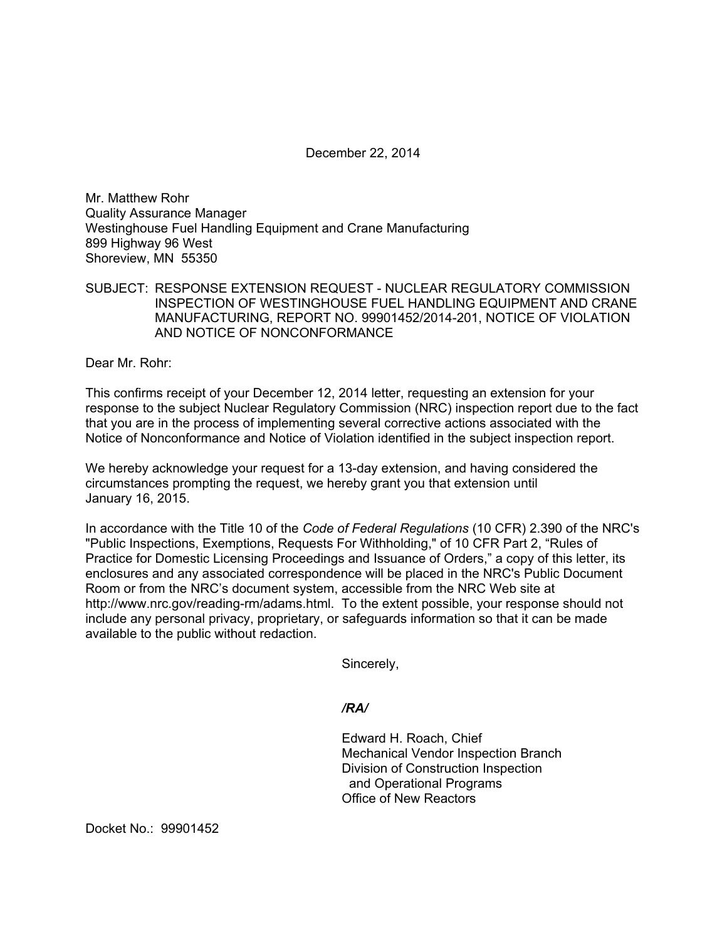December 22, 2014

Mr. Matthew Rohr Quality Assurance Manager Westinghouse Fuel Handling Equipment and Crane Manufacturing 899 Highway 96 West Shoreview, MN 55350

SUBJECT: RESPONSE EXTENSION REQUEST - NUCLEAR REGULATORY COMMISSION INSPECTION OF WESTINGHOUSE FUEL HANDLING EQUIPMENT AND CRANE MANUFACTURING, REPORT NO. 99901452/2014-201, NOTICE OF VIOLATION AND NOTICE OF NONCONFORMANCE

Dear Mr. Rohr:

This confirms receipt of your December 12, 2014 letter, requesting an extension for your response to the subject Nuclear Regulatory Commission (NRC) inspection report due to the fact that you are in the process of implementing several corrective actions associated with the Notice of Nonconformance and Notice of Violation identified in the subject inspection report.

We hereby acknowledge your request for a 13-day extension, and having considered the circumstances prompting the request, we hereby grant you that extension until January 16, 2015.

In accordance with the Title 10 of the *Code of Federal Regulations* (10 CFR) 2.390 of the NRC's "Public Inspections, Exemptions, Requests For Withholding," of 10 CFR Part 2, "Rules of Practice for Domestic Licensing Proceedings and Issuance of Orders," a copy of this letter, its enclosures and any associated correspondence will be placed in the NRC's Public Document Room or from the NRC's document system, accessible from the NRC Web site at http://www.nrc.gov/reading-rm/adams.html. To the extent possible, your response should not include any personal privacy, proprietary, or safeguards information so that it can be made available to the public without redaction.

Sincerely,

## */RA/*

Edward H. Roach, Chief Mechanical Vendor Inspection Branch Division of Construction Inspection and Operational Programs Office of New Reactors

Docket No.: 99901452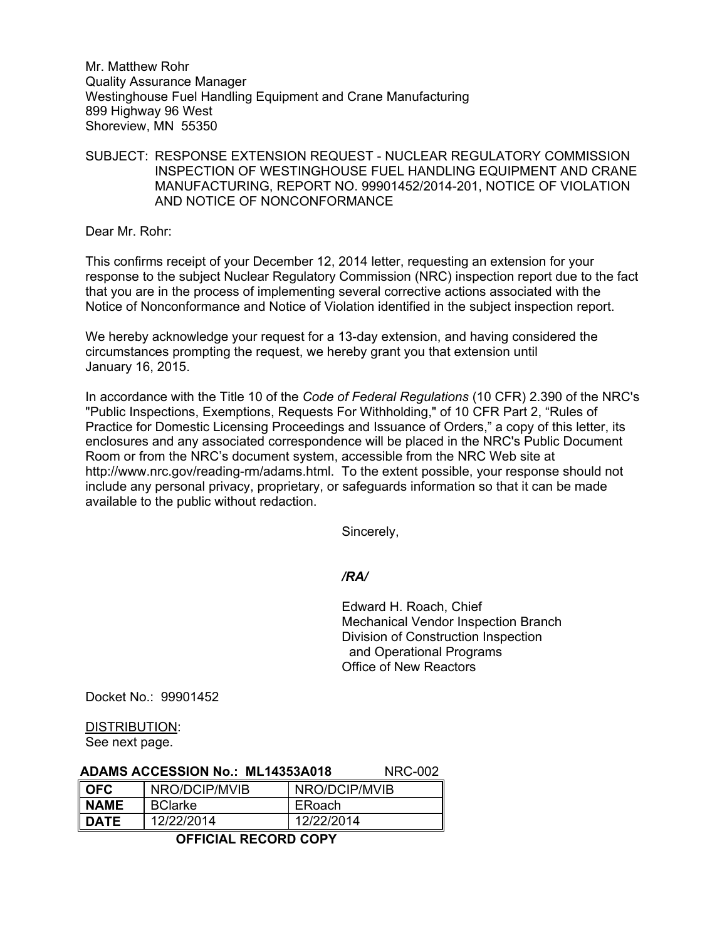Mr. Matthew Rohr Quality Assurance Manager Westinghouse Fuel Handling Equipment and Crane Manufacturing 899 Highway 96 West Shoreview, MN 55350

SUBJECT: RESPONSE EXTENSION REQUEST - NUCLEAR REGULATORY COMMISSION INSPECTION OF WESTINGHOUSE FUEL HANDLING EQUIPMENT AND CRANE MANUFACTURING, REPORT NO. 99901452/2014-201, NOTICE OF VIOLATION AND NOTICE OF NONCONFORMANCE

Dear Mr. Rohr:

This confirms receipt of your December 12, 2014 letter, requesting an extension for your response to the subject Nuclear Regulatory Commission (NRC) inspection report due to the fact that you are in the process of implementing several corrective actions associated with the Notice of Nonconformance and Notice of Violation identified in the subject inspection report.

We hereby acknowledge your request for a 13-day extension, and having considered the circumstances prompting the request, we hereby grant you that extension until January 16, 2015.

In accordance with the Title 10 of the *Code of Federal Regulations* (10 CFR) 2.390 of the NRC's "Public Inspections, Exemptions, Requests For Withholding," of 10 CFR Part 2, "Rules of Practice for Domestic Licensing Proceedings and Issuance of Orders," a copy of this letter, its enclosures and any associated correspondence will be placed in the NRC's Public Document Room or from the NRC's document system, accessible from the NRC Web site at http://www.nrc.gov/reading-rm/adams.html. To the extent possible, your response should not include any personal privacy, proprietary, or safeguards information so that it can be made available to the public without redaction.

Sincerely,

## */RA/*

Edward H. Roach, Chief Mechanical Vendor Inspection Branch Division of Construction Inspection and Operational Programs Office of New Reactors

Docket No.: 99901452

# DISTRIBUTION:

See next page.

| <b>ADAMS ACCESSION No.: ML14353A018</b> |  | <b>NRC-002</b> |
|-----------------------------------------|--|----------------|
|-----------------------------------------|--|----------------|

| <b>OFC</b>       | NRO/DCIP/MVIB  | NRO/DCIP/MVIB |
|------------------|----------------|---------------|
| NAME             | <b>BClarke</b> | ERoach        |
| $\parallel$ DATE | 12/22/2014     | 12/22/2014    |

## **OFFICIAL RECORD COPY**